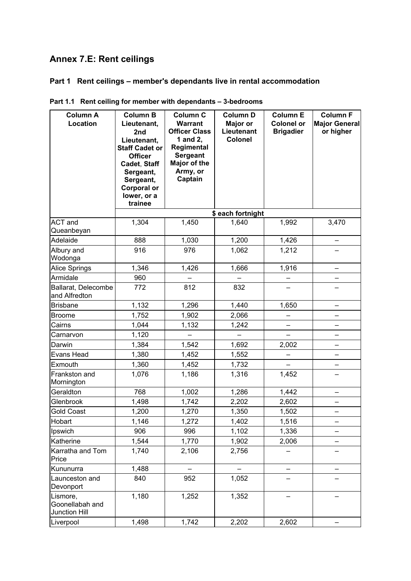# **Annex 7.E: Rent ceilings**

# **Part 1 Rent ceilings – member's dependants live in rental accommodation**

| <b>Column A</b><br>Location                  | <b>Column B</b><br>Lieutenant,<br>2nd<br>Lieutenant,<br><b>Staff Cadet or</b><br><b>Officer</b><br>Cadet, Staff<br>Sergeant,<br>Sergeant,<br><b>Corporal or</b><br>lower, or a<br>trainee | <b>Column C</b><br><b>Warrant</b><br><b>Officer Class</b><br>1 and 2,<br>Regimental<br><b>Sergeant</b><br>Major of the<br>Army, or<br>Captain | <b>Column D</b><br>Major or<br>Lieutenant<br><b>Colonel</b> | <b>Column E</b><br><b>Colonel or</b><br><b>Brigadier</b> | <b>Column F</b><br><b>Major General</b><br>or higher |
|----------------------------------------------|-------------------------------------------------------------------------------------------------------------------------------------------------------------------------------------------|-----------------------------------------------------------------------------------------------------------------------------------------------|-------------------------------------------------------------|----------------------------------------------------------|------------------------------------------------------|
|                                              |                                                                                                                                                                                           |                                                                                                                                               | \$ each fortnight                                           |                                                          |                                                      |
| <b>ACT</b> and<br>Queanbeyan                 | 1,304                                                                                                                                                                                     | 1,450                                                                                                                                         | 1,640                                                       | 1,992                                                    | 3,470                                                |
| Adelaide                                     | 888                                                                                                                                                                                       | 1,030                                                                                                                                         | 1,200                                                       | 1,426                                                    |                                                      |
| Albury and<br>Wodonga                        | 916                                                                                                                                                                                       | 976                                                                                                                                           | 1,062                                                       | 1,212                                                    |                                                      |
| Alice Springs                                | 1,346                                                                                                                                                                                     | 1,426                                                                                                                                         | 1,666                                                       | 1,916                                                    | -                                                    |
| Armidale                                     | 960                                                                                                                                                                                       |                                                                                                                                               |                                                             |                                                          |                                                      |
| Ballarat, Delecombe<br>and Alfredton         | 772                                                                                                                                                                                       | 812                                                                                                                                           | 832                                                         |                                                          |                                                      |
| <b>Brisbane</b>                              | 1,132                                                                                                                                                                                     | 1,296                                                                                                                                         | 1,440                                                       | 1,650                                                    |                                                      |
| <b>Broome</b>                                | 1,752                                                                                                                                                                                     | 1,902                                                                                                                                         | 2,066                                                       |                                                          |                                                      |
| Cairns                                       | 1,044                                                                                                                                                                                     | 1,132                                                                                                                                         | 1,242                                                       | -                                                        |                                                      |
| Carnarvon                                    | 1,120                                                                                                                                                                                     |                                                                                                                                               | $\overline{\phantom{0}}$                                    |                                                          |                                                      |
| Darwin                                       | 1,384                                                                                                                                                                                     | 1,542                                                                                                                                         | 1,692                                                       | 2,002                                                    |                                                      |
| Evans Head                                   | 1,380                                                                                                                                                                                     | 1,452                                                                                                                                         | 1,552                                                       |                                                          |                                                      |
| Exmouth                                      | 1,360                                                                                                                                                                                     | 1,452                                                                                                                                         | 1,732                                                       |                                                          |                                                      |
| Frankston and<br>Mornington                  | 1,076                                                                                                                                                                                     | 1,186                                                                                                                                         | 1,316                                                       | 1,452                                                    |                                                      |
| Geraldton                                    | 768                                                                                                                                                                                       | 1,002                                                                                                                                         | 1,286                                                       | 1,442                                                    |                                                      |
| Glenbrook                                    | 1,498                                                                                                                                                                                     | 1,742                                                                                                                                         | 2,202                                                       | 2,602                                                    |                                                      |
| <b>Gold Coast</b>                            | 1,200                                                                                                                                                                                     | 1,270                                                                                                                                         | 1,350                                                       | 1,502                                                    | $\overline{\phantom{0}}$                             |
| Hobart                                       | 1,146                                                                                                                                                                                     | 1,272                                                                                                                                         | 1,402                                                       | 1,516                                                    |                                                      |
| Ipswich                                      | 906                                                                                                                                                                                       | 996                                                                                                                                           | 1,102                                                       | 1,336                                                    |                                                      |
| Katherine                                    | 1,544                                                                                                                                                                                     | 1,770                                                                                                                                         | 1,902                                                       | 2,006                                                    |                                                      |
| Karratha and Tom<br>Price                    | 1,740                                                                                                                                                                                     | 2,106                                                                                                                                         | 2,756                                                       |                                                          |                                                      |
| Kununurra                                    | 1,488                                                                                                                                                                                     |                                                                                                                                               |                                                             | -                                                        |                                                      |
| Launceston and<br>Devonport                  | 840                                                                                                                                                                                       | 952                                                                                                                                           | 1,052                                                       | —                                                        |                                                      |
| Lismore,<br>Goonellabah and<br>Junction Hill | 1,180                                                                                                                                                                                     | 1,252                                                                                                                                         | 1,352                                                       |                                                          |                                                      |
| Liverpool                                    | 1,498                                                                                                                                                                                     | 1,742                                                                                                                                         | 2,202                                                       | 2,602                                                    |                                                      |

|  |  | Part 1.1 Rent ceiling for member with dependants - 3-bedrooms |  |
|--|--|---------------------------------------------------------------|--|
|--|--|---------------------------------------------------------------|--|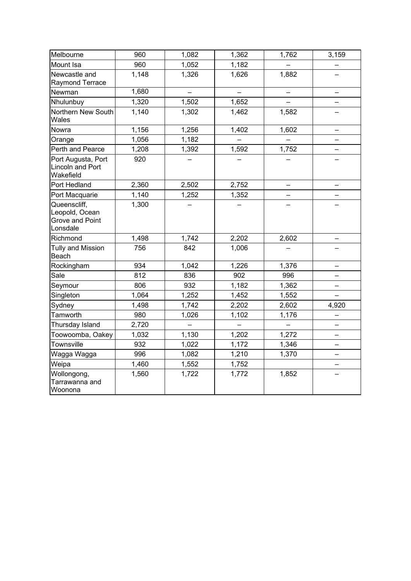| Melbourne                                                     | 960   | 1,082 | 1,362 | 1,762 | 3,159                    |
|---------------------------------------------------------------|-------|-------|-------|-------|--------------------------|
| Mount Isa                                                     | 960   | 1,052 | 1,182 |       |                          |
| Newcastle and<br>Raymond Terrace                              | 1,148 | 1,326 | 1,626 | 1,882 |                          |
| Newman                                                        | 1,680 |       |       |       |                          |
| Nhulunbuy                                                     | 1,320 | 1,502 | 1,652 |       |                          |
| Northern New South<br>Wales                                   | 1,140 | 1,302 | 1,462 | 1,582 |                          |
| Nowra                                                         | 1,156 | 1,256 | 1,402 | 1,602 |                          |
| Orange                                                        | 1,056 | 1,182 |       |       |                          |
| Perth and Pearce                                              | 1,208 | 1,392 | 1,592 | 1,752 |                          |
| Port Augusta, Port<br>Lincoln and Port<br>Wakefield           | 920   |       |       |       |                          |
| Port Hedland                                                  | 2,360 | 2,502 | 2,752 |       |                          |
| Port Macquarie                                                | 1,140 | 1,252 | 1,352 |       |                          |
| Queenscliff,<br>Leopold, Ocean<br>Grove and Point<br>Lonsdale | 1,300 |       |       |       |                          |
| Richmond                                                      | 1,498 | 1,742 | 2,202 | 2,602 |                          |
| <b>Tully and Mission</b><br>Beach                             | 756   | 842   | 1,006 |       |                          |
| Rockingham                                                    | 934   | 1,042 | 1,226 | 1,376 |                          |
| Sale                                                          | 812   | 836   | 902   | 996   | —                        |
| Seymour                                                       | 806   | 932   | 1,182 | 1,362 |                          |
| Singleton                                                     | 1,064 | 1,252 | 1,452 | 1,552 |                          |
| Sydney                                                        | 1,498 | 1,742 | 2,202 | 2,602 | 4,920                    |
| Tamworth                                                      | 980   | 1,026 | 1,102 | 1,176 |                          |
| Thursday Island                                               | 2,720 |       |       |       |                          |
| Toowoomba, Oakey                                              | 1,032 | 1,130 | 1,202 | 1,272 | $\overline{\phantom{0}}$ |
| Townsville                                                    | 932   | 1,022 | 1,172 | 1,346 |                          |
| Wagga Wagga                                                   | 996   | 1,082 | 1,210 | 1,370 | -                        |
| Weipa                                                         | 1,460 | 1,552 | 1,752 |       |                          |
| Wollongong,<br>Tarrawanna and<br>Woonona                      | 1,560 | 1,722 | 1,772 | 1,852 |                          |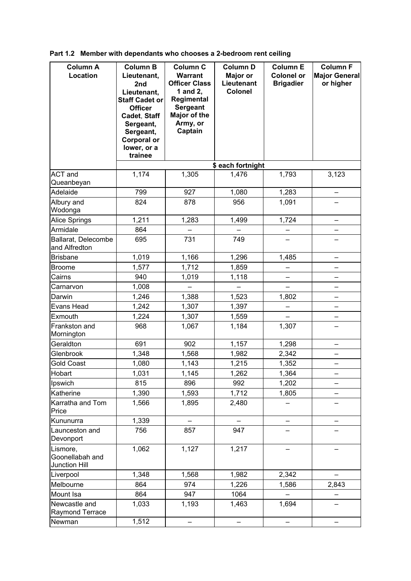| <b>Column A</b><br>Location                         | <b>Column B</b><br>Lieutenant,<br>2nd<br>Lieutenant,<br><b>Staff Cadet or</b><br><b>Officer</b><br>Cadet, Staff<br>Sergeant,<br>Sergeant,<br><b>Corporal or</b><br>lower, or a | Column C<br><b>Warrant</b><br><b>Officer Class</b><br>1 and 2,<br>Regimental<br><b>Sergeant</b><br>Major of the<br>Army, or<br>Captain | <b>Column D</b><br>Major or<br>Lieutenant<br><b>Colonel</b> | <b>Column E</b><br><b>Colonel or</b><br><b>Brigadier</b> | <b>Column F</b><br><b>Major General</b><br>or higher |
|-----------------------------------------------------|--------------------------------------------------------------------------------------------------------------------------------------------------------------------------------|----------------------------------------------------------------------------------------------------------------------------------------|-------------------------------------------------------------|----------------------------------------------------------|------------------------------------------------------|
|                                                     | trainee                                                                                                                                                                        |                                                                                                                                        |                                                             |                                                          |                                                      |
| <b>ACT</b> and<br>Queanbeyan                        | 1,174                                                                                                                                                                          | 1,305                                                                                                                                  | \$ each fortnight<br>1,476                                  | 1,793                                                    | 3,123                                                |
| Adelaide                                            | 799                                                                                                                                                                            | 927                                                                                                                                    | 1,080                                                       | 1,283                                                    |                                                      |
| Albury and<br>Wodonga                               | 824                                                                                                                                                                            | 878                                                                                                                                    | 956                                                         | 1,091                                                    |                                                      |
| Alice Springs                                       | 1,211                                                                                                                                                                          | 1,283                                                                                                                                  | 1,499                                                       | 1,724                                                    |                                                      |
| Armidale                                            | 864                                                                                                                                                                            |                                                                                                                                        |                                                             |                                                          |                                                      |
| Ballarat, Delecombe<br>and Alfredton                | 695                                                                                                                                                                            | 731                                                                                                                                    | 749                                                         |                                                          |                                                      |
| <b>Brisbane</b>                                     | 1,019                                                                                                                                                                          | 1,166                                                                                                                                  | 1,296                                                       | 1,485                                                    |                                                      |
| <b>Broome</b>                                       | 1,577                                                                                                                                                                          | 1,712                                                                                                                                  | 1,859                                                       | -                                                        | —                                                    |
| Cairns                                              | 940                                                                                                                                                                            | 1,019                                                                                                                                  | 1,118                                                       |                                                          |                                                      |
| Carnarvon                                           | 1,008                                                                                                                                                                          |                                                                                                                                        |                                                             |                                                          |                                                      |
| Darwin                                              | 1,246                                                                                                                                                                          | 1,388                                                                                                                                  | 1,523                                                       | 1,802                                                    | —                                                    |
| Evans Head                                          | 1,242                                                                                                                                                                          | 1,307                                                                                                                                  | 1,397                                                       |                                                          |                                                      |
| Exmouth                                             | 1,224                                                                                                                                                                          | 1,307                                                                                                                                  | 1,559                                                       |                                                          | $\overline{\phantom{0}}$                             |
| Frankston and<br>Mornington                         | 968                                                                                                                                                                            | 1,067                                                                                                                                  | 1,184                                                       | 1,307                                                    | —                                                    |
| Geraldton                                           | 691                                                                                                                                                                            | 902                                                                                                                                    | 1,157                                                       | 1,298                                                    |                                                      |
| Glenbrook                                           | 1,348                                                                                                                                                                          | 1,568                                                                                                                                  | 1,982                                                       | 2,342                                                    |                                                      |
| <b>Gold Coast</b>                                   | 1,080                                                                                                                                                                          | 1,143                                                                                                                                  | 1,215                                                       | 1,352                                                    |                                                      |
| Hobart                                              | 1,031                                                                                                                                                                          | 1,145                                                                                                                                  | 1,262                                                       | 1,364                                                    |                                                      |
| Ipswich                                             | 815                                                                                                                                                                            | 896                                                                                                                                    | 992                                                         | 1,202                                                    |                                                      |
| Katherine                                           | 1,390                                                                                                                                                                          | 1,593                                                                                                                                  | 1,712                                                       | 1,805                                                    |                                                      |
| Karratha and Tom<br>Price                           | 1,566                                                                                                                                                                          | 1,895                                                                                                                                  | 2,480                                                       |                                                          |                                                      |
| Kununurra                                           | 1,339                                                                                                                                                                          |                                                                                                                                        |                                                             |                                                          |                                                      |
| Launceston and<br>Devonport                         | 756                                                                                                                                                                            | 857                                                                                                                                    | 947                                                         |                                                          |                                                      |
| Lismore,<br>Goonellabah and<br><b>Junction Hill</b> | 1,062                                                                                                                                                                          | 1,127                                                                                                                                  | 1,217                                                       |                                                          |                                                      |
| Liverpool                                           | 1,348                                                                                                                                                                          | 1,568                                                                                                                                  | 1,982                                                       | 2,342                                                    |                                                      |
| Melbourne                                           | 864                                                                                                                                                                            | 974                                                                                                                                    | 1,226                                                       | 1,586                                                    | 2,843                                                |
| Mount Isa                                           | 864                                                                                                                                                                            | 947                                                                                                                                    | 1064                                                        |                                                          |                                                      |
| Newcastle and<br>Raymond Terrace                    | 1,033                                                                                                                                                                          | 1,193                                                                                                                                  | 1,463                                                       | 1,694                                                    |                                                      |
| Newman                                              | 1,512                                                                                                                                                                          |                                                                                                                                        |                                                             |                                                          |                                                      |

**Part 1.2 Member with dependants who chooses a 2-bedroom rent ceiling**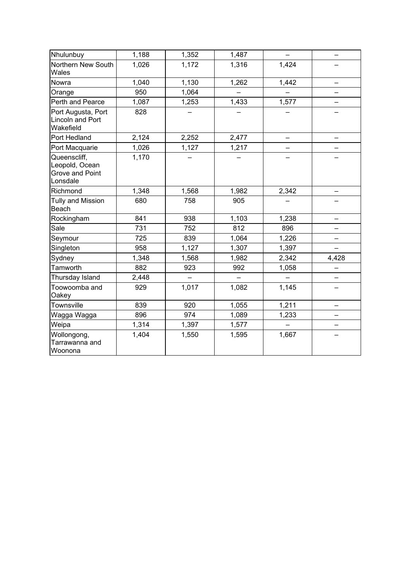| Nhulunbuy                                                            | 1,188 | 1,352 | 1,487 |       |       |
|----------------------------------------------------------------------|-------|-------|-------|-------|-------|
| Northern New South<br>Wales                                          | 1,026 | 1,172 | 1,316 | 1,424 |       |
| Nowra                                                                | 1,040 | 1,130 | 1,262 | 1,442 |       |
| Orange                                                               | 950   | 1,064 |       |       |       |
| Perth and Pearce                                                     | 1,087 | 1,253 | 1,433 | 1,577 |       |
| Port Augusta, Port<br>Lincoln and Port<br>Wakefield                  | 828   |       |       |       |       |
| Port Hedland                                                         | 2,124 | 2,252 | 2,477 |       |       |
| Port Macquarie                                                       | 1,026 | 1,127 | 1,217 |       |       |
| Queenscliff,<br>Leopold, Ocean<br><b>Grove and Point</b><br>Lonsdale | 1,170 |       |       |       |       |
| Richmond                                                             | 1,348 | 1,568 | 1,982 | 2,342 |       |
| <b>Tully and Mission</b><br>Beach                                    | 680   | 758   | 905   |       |       |
| Rockingham                                                           | 841   | 938   | 1,103 | 1,238 |       |
| Sale                                                                 | 731   | 752   | 812   | 896   |       |
| Seymour                                                              | 725   | 839   | 1,064 | 1,226 |       |
| Singleton                                                            | 958   | 1,127 | 1,307 | 1,397 |       |
| Sydney                                                               | 1,348 | 1,568 | 1,982 | 2,342 | 4,428 |
| Tamworth                                                             | 882   | 923   | 992   | 1,058 |       |
| Thursday Island                                                      | 2,448 |       |       |       |       |
| Toowoomba and<br>Oakey                                               | 929   | 1,017 | 1,082 | 1,145 |       |
| Townsville                                                           | 839   | 920   | 1,055 | 1,211 |       |
| Wagga Wagga                                                          | 896   | 974   | 1,089 | 1,233 |       |
| Weipa                                                                | 1,314 | 1,397 | 1,577 |       |       |
| Wollongong,<br>Tarrawanna and<br>Woonona                             | 1,404 | 1,550 | 1,595 | 1,667 |       |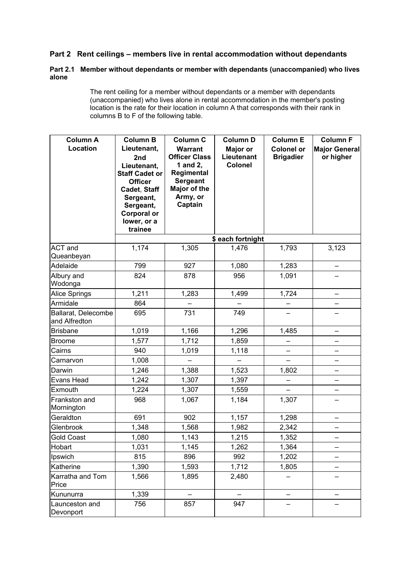# **Part 2 Rent ceilings – members live in rental accommodation without dependants**

## **Part 2.1 Member without dependants or member with dependants (unaccompanied) who lives alone**

 The rent ceiling for a member without dependants or a member with dependants (unaccompanied) who lives alone in rental accommodation in the member's posting location is the rate for their location in column A that corresponds with their rank in columns B to F of the following table.

| <b>Column A</b><br>Location          | <b>Column B</b><br>Lieutenant,<br>2nd<br>Lieutenant,<br><b>Staff Cadet or</b><br><b>Officer</b><br>Cadet, Staff<br>Sergeant,<br>Sergeant,<br><b>Corporal or</b><br>lower, or a<br>trainee | <b>Column C</b><br><b>Warrant</b><br><b>Officer Class</b><br>1 and 2,<br>Regimental<br><b>Sergeant</b><br>Major of the<br>Army, or<br>Captain | <b>Column D</b><br>Major or<br>Lieutenant<br><b>Colonel</b> | <b>Column E</b><br><b>Colonel or</b><br><b>Brigadier</b> | <b>Column F</b><br><b>Major General</b><br>or higher |
|--------------------------------------|-------------------------------------------------------------------------------------------------------------------------------------------------------------------------------------------|-----------------------------------------------------------------------------------------------------------------------------------------------|-------------------------------------------------------------|----------------------------------------------------------|------------------------------------------------------|
|                                      |                                                                                                                                                                                           |                                                                                                                                               | \$ each fortnight                                           |                                                          |                                                      |
| <b>ACT</b> and<br>Queanbeyan         | 1,174                                                                                                                                                                                     | 1,305                                                                                                                                         | 1,476                                                       | 1,793                                                    | 3,123                                                |
| Adelaide                             | 799                                                                                                                                                                                       | 927                                                                                                                                           | 1,080                                                       | 1,283                                                    |                                                      |
| Albury and<br>Wodonga                | 824                                                                                                                                                                                       | 878                                                                                                                                           | 956                                                         | 1,091                                                    |                                                      |
| <b>Alice Springs</b>                 | 1,211                                                                                                                                                                                     | 1,283                                                                                                                                         | 1,499                                                       | 1,724                                                    |                                                      |
| Armidale                             | 864                                                                                                                                                                                       |                                                                                                                                               |                                                             |                                                          |                                                      |
| Ballarat, Delecombe<br>and Alfredton | 695                                                                                                                                                                                       | 731                                                                                                                                           | 749                                                         |                                                          |                                                      |
| <b>Brisbane</b>                      | 1,019                                                                                                                                                                                     | 1,166                                                                                                                                         | 1,296                                                       | 1,485                                                    |                                                      |
| <b>Broome</b>                        | 1,577                                                                                                                                                                                     | 1,712                                                                                                                                         | 1,859                                                       |                                                          |                                                      |
| Cairns                               | 940                                                                                                                                                                                       | 1,019                                                                                                                                         | 1,118                                                       |                                                          | -                                                    |
| Carnarvon                            | 1,008                                                                                                                                                                                     |                                                                                                                                               |                                                             |                                                          | $\overline{\phantom{0}}$                             |
| Darwin                               | 1,246                                                                                                                                                                                     | 1,388                                                                                                                                         | 1,523                                                       | 1,802                                                    |                                                      |
| Evans Head                           | 1,242                                                                                                                                                                                     | 1,307                                                                                                                                         | 1,397                                                       |                                                          | —                                                    |
| Exmouth                              | 1,224                                                                                                                                                                                     | 1,307                                                                                                                                         | 1,559                                                       |                                                          |                                                      |
| Frankston and<br>Mornington          | 968                                                                                                                                                                                       | 1,067                                                                                                                                         | 1,184                                                       | 1,307                                                    | $\overline{\phantom{0}}$                             |
| Geraldton                            | 691                                                                                                                                                                                       | 902                                                                                                                                           | 1,157                                                       | 1,298                                                    |                                                      |
| Glenbrook                            | 1,348                                                                                                                                                                                     | 1,568                                                                                                                                         | 1,982                                                       | 2,342                                                    |                                                      |
| <b>Gold Coast</b>                    | 1,080                                                                                                                                                                                     | 1,143                                                                                                                                         | 1,215                                                       | 1,352                                                    |                                                      |
| Hobart                               | 1,031                                                                                                                                                                                     | 1,145                                                                                                                                         | 1,262                                                       | 1,364                                                    |                                                      |
| Ipswich                              | 815                                                                                                                                                                                       | 896                                                                                                                                           | 992                                                         | 1,202                                                    |                                                      |
| Katherine                            | 1,390                                                                                                                                                                                     | 1,593                                                                                                                                         | 1,712                                                       | 1,805                                                    |                                                      |
| Karratha and Tom<br>Price            | 1,566                                                                                                                                                                                     | 1,895                                                                                                                                         | 2,480                                                       |                                                          |                                                      |
| Kununurra                            | 1,339                                                                                                                                                                                     |                                                                                                                                               |                                                             |                                                          |                                                      |
| Launceston and<br>Devonport          | 756                                                                                                                                                                                       | 857                                                                                                                                           | 947                                                         |                                                          |                                                      |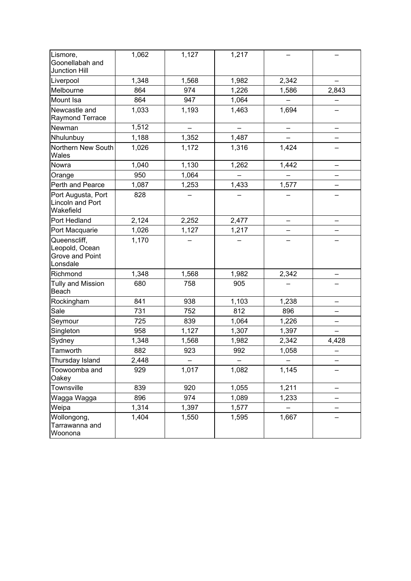| Lismore,<br>Goonellabah and<br><b>Junction Hill</b>           | 1,062 | 1,127 | 1,217 |       |       |
|---------------------------------------------------------------|-------|-------|-------|-------|-------|
| Liverpool                                                     | 1,348 | 1,568 | 1,982 | 2,342 |       |
| Melbourne                                                     | 864   | 974   | 1,226 | 1,586 | 2,843 |
| Mount Isa                                                     | 864   | 947   | 1,064 |       |       |
| Newcastle and<br><b>Raymond Terrace</b>                       | 1,033 | 1,193 | 1,463 | 1,694 |       |
| Newman                                                        | 1,512 |       |       |       |       |
| Nhulunbuy                                                     | 1,188 | 1,352 | 1,487 |       |       |
| Northern New South<br>Wales                                   | 1,026 | 1,172 | 1,316 | 1,424 |       |
| Nowra                                                         | 1,040 | 1,130 | 1,262 | 1,442 |       |
| Orange                                                        | 950   | 1,064 |       |       |       |
| Perth and Pearce                                              | 1,087 | 1,253 | 1,433 | 1,577 |       |
| Port Augusta, Port<br><b>Lincoln and Port</b><br>Wakefield    | 828   |       |       |       |       |
| Port Hedland                                                  | 2,124 | 2,252 | 2,477 |       |       |
| Port Macquarie                                                | 1,026 | 1,127 | 1,217 |       |       |
| Queenscliff,<br>Leopold, Ocean<br>Grove and Point<br>Lonsdale | 1,170 |       |       |       |       |
| Richmond                                                      | 1,348 | 1,568 | 1,982 | 2,342 |       |
| <b>Tully and Mission</b><br>Beach                             | 680   | 758   | 905   |       |       |
| Rockingham                                                    | 841   | 938   | 1,103 | 1,238 |       |
| Sale                                                          | 731   | 752   | 812   | 896   |       |
| Seymour                                                       | 725   | 839   | 1,064 | 1,226 |       |
| Singleton                                                     | 958   | 1,127 | 1,307 | 1,397 |       |
| Sydney                                                        | 1,348 | 1,568 | 1,982 | 2,342 | 4,428 |
| Tamworth                                                      | 882   | 923   | 992   | 1,058 |       |
| Thursday Island                                               | 2,448 |       |       |       |       |
| Toowoomba and<br>Oakey                                        | 929   | 1,017 | 1,082 | 1,145 |       |
| Townsville                                                    | 839   | 920   | 1,055 | 1,211 |       |
| Wagga Wagga                                                   | 896   | 974   | 1,089 | 1,233 |       |
| Weipa                                                         | 1,314 | 1,397 | 1,577 |       |       |
| Wollongong,<br>Tarrawanna and<br>Woonona                      | 1,404 | 1,550 | 1,595 | 1,667 |       |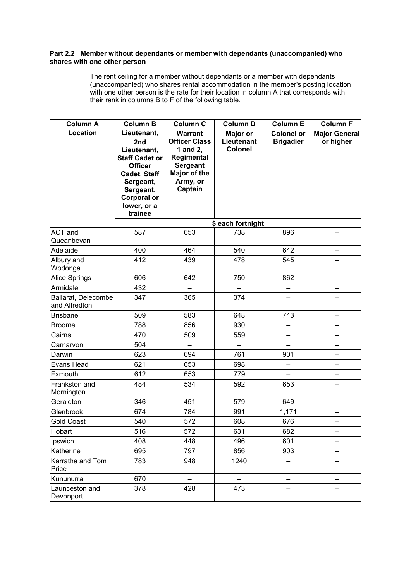### **Part 2.2 Member without dependants or member with dependants (unaccompanied) who shares with one other person**

 The rent ceiling for a member without dependants or a member with dependants (unaccompanied) who shares rental accommodation in the member's posting location with one other person is the rate for their location in column A that corresponds with their rank in columns B to F of the following table.

| <b>Column A</b>                      | <b>Column B</b>                                                                                                                                                        | <b>Column C</b>                                                                                                            | <b>Column D</b>                          | <b>Column E</b>                       | <b>Column F</b>                   |
|--------------------------------------|------------------------------------------------------------------------------------------------------------------------------------------------------------------------|----------------------------------------------------------------------------------------------------------------------------|------------------------------------------|---------------------------------------|-----------------------------------|
| Location                             | Lieutenant,<br>2nd<br>Lieutenant,<br><b>Staff Cadet or</b><br><b>Officer</b><br>Cadet, Staff<br>Sergeant,<br>Sergeant,<br><b>Corporal or</b><br>lower, or a<br>trainee | <b>Warrant</b><br><b>Officer Class</b><br>1 and 2,<br>Regimental<br><b>Sergeant</b><br>Major of the<br>Army, or<br>Captain | Major or<br>Lieutenant<br><b>Colonel</b> | <b>Colonel or</b><br><b>Brigadier</b> | <b>Major General</b><br>or higher |
|                                      |                                                                                                                                                                        |                                                                                                                            | \$ each fortnight                        |                                       |                                   |
| <b>ACT</b> and<br>Queanbeyan         | 587                                                                                                                                                                    | 653                                                                                                                        | 738                                      | 896                                   |                                   |
| Adelaide                             | 400                                                                                                                                                                    | 464                                                                                                                        | 540                                      | 642                                   |                                   |
| Albury and<br>Wodonga                | 412                                                                                                                                                                    | 439                                                                                                                        | 478                                      | 545                                   |                                   |
| <b>Alice Springs</b>                 | 606                                                                                                                                                                    | 642                                                                                                                        | 750                                      | 862                                   | —                                 |
| Armidale                             | 432                                                                                                                                                                    |                                                                                                                            |                                          |                                       |                                   |
| Ballarat, Delecombe<br>and Alfredton | 347                                                                                                                                                                    | 365                                                                                                                        | 374                                      |                                       |                                   |
| <b>Brisbane</b>                      | 509                                                                                                                                                                    | 583                                                                                                                        | 648                                      | 743                                   | —                                 |
| Broome                               | 788                                                                                                                                                                    | 856                                                                                                                        | 930                                      |                                       |                                   |
| Cairns                               | 470                                                                                                                                                                    | 509                                                                                                                        | 559                                      | -                                     | -                                 |
| Carnarvon                            | 504                                                                                                                                                                    |                                                                                                                            |                                          | L.                                    | $\overline{\phantom{0}}$          |
| Darwin                               | 623                                                                                                                                                                    | 694                                                                                                                        | 761                                      | 901                                   | $\overline{\phantom{0}}$          |
| Evans Head                           | 621                                                                                                                                                                    | 653                                                                                                                        | 698                                      | $\overline{\phantom{0}}$              | —                                 |
| Exmouth                              | 612                                                                                                                                                                    | 653                                                                                                                        | 779                                      |                                       |                                   |
| Frankston and<br>Mornington          | 484                                                                                                                                                                    | 534                                                                                                                        | 592                                      | 653                                   |                                   |
| Geraldton                            | 346                                                                                                                                                                    | 451                                                                                                                        | 579                                      | 649                                   | —                                 |
| Glenbrook                            | 674                                                                                                                                                                    | 784                                                                                                                        | 991                                      | 1,171                                 |                                   |
| <b>Gold Coast</b>                    | 540                                                                                                                                                                    | 572                                                                                                                        | 608                                      | 676                                   | -                                 |
| Hobart                               | 516                                                                                                                                                                    | 572                                                                                                                        | 631                                      | 682                                   |                                   |
| Ipswich                              | 408                                                                                                                                                                    | 448                                                                                                                        | 496                                      | 601                                   |                                   |
| Katherine                            | 695                                                                                                                                                                    | 797                                                                                                                        | 856                                      | 903                                   |                                   |
| Karratha and Tom<br>Price            | 783                                                                                                                                                                    | 948                                                                                                                        | 1240                                     |                                       |                                   |
| Kununurra                            | 670                                                                                                                                                                    |                                                                                                                            |                                          |                                       |                                   |
| Launceston and<br>Devonport          | 378                                                                                                                                                                    | 428                                                                                                                        | 473                                      |                                       |                                   |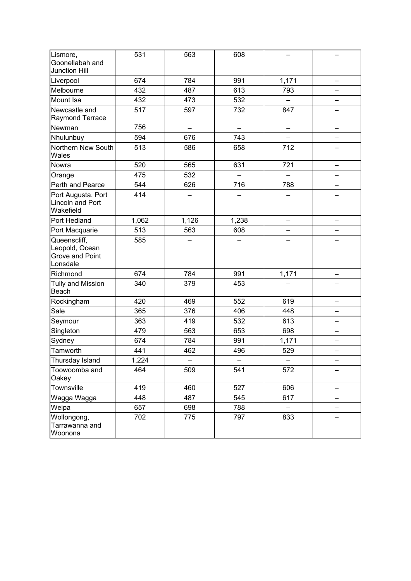| Lismore,<br>Goonellabah and<br><b>Junction Hill</b>           | 531   | 563   | 608   |                          |  |
|---------------------------------------------------------------|-------|-------|-------|--------------------------|--|
| Liverpool                                                     | 674   | 784   | 991   | 1,171                    |  |
| Melbourne                                                     | 432   | 487   | 613   | 793                      |  |
| Mount Isa                                                     | 432   | 473   | 532   |                          |  |
| Newcastle and<br>Raymond Terrace                              | 517   | 597   | 732   | 847                      |  |
| Newman                                                        | 756   | —     |       | —                        |  |
| Nhulunbuy                                                     | 594   | 676   | 743   |                          |  |
| Northern New South<br>Wales                                   | 513   | 586   | 658   | 712                      |  |
| Nowra                                                         | 520   | 565   | 631   | 721                      |  |
| Orange                                                        | 475   | 532   |       | $\overline{\phantom{0}}$ |  |
| Perth and Pearce                                              | 544   | 626   | 716   | 788                      |  |
| Port Augusta, Port<br><b>Lincoln and Port</b><br>Wakefield    | 414   |       |       |                          |  |
| Port Hedland                                                  | 1,062 | 1,126 | 1,238 |                          |  |
| Port Macquarie                                                | 513   | 563   | 608   |                          |  |
| Queenscliff,<br>Leopold, Ocean<br>Grove and Point<br>Lonsdale | 585   |       |       |                          |  |
| Richmond                                                      | 674   | 784   | 991   | 1,171                    |  |
| <b>Tully and Mission</b><br>Beach                             | 340   | 379   | 453   |                          |  |
| Rockingham                                                    | 420   | 469   | 552   | 619                      |  |
| Sale                                                          | 365   | 376   | 406   | 448                      |  |
| Seymour                                                       | 363   | 419   | 532   | 613                      |  |
| Singleton                                                     | 479   | 563   | 653   | 698                      |  |
| Sydney                                                        | 674   | 784   | 991   | 1,171                    |  |
| Tamworth                                                      | 441   | 462   | 496   | 529                      |  |
| Thursday Island                                               | 1,224 |       |       |                          |  |
| Toowoomba and<br>Oakey                                        | 464   | 509   | 541   | 572                      |  |
| Townsville                                                    | 419   | 460   | 527   | 606                      |  |
| Wagga Wagga                                                   | 448   | 487   | 545   | 617                      |  |
| Weipa                                                         | 657   | 698   | 788   |                          |  |
| Wollongong,<br>Tarrawanna and<br>Woonona                      | 702   | 775   | 797   | 833                      |  |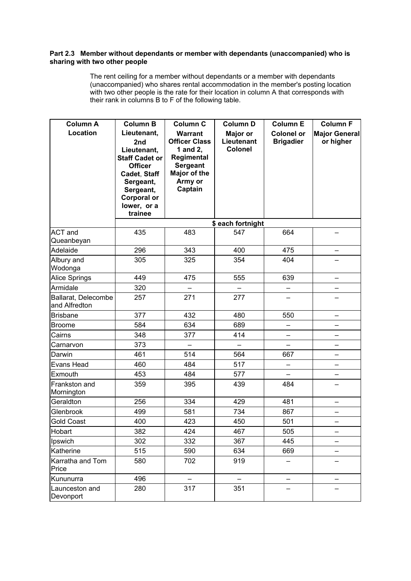### **Part 2.3 Member without dependants or member with dependants (unaccompanied) who is sharing with two other people**

 The rent ceiling for a member without dependants or a member with dependants (unaccompanied) who shares rental accommodation in the member's posting location with two other people is the rate for their location in column A that corresponds with their rank in columns B to F of the following table.

| <b>Column A</b><br>Location          | <b>Column B</b><br>Lieutenant,<br>2nd<br>Lieutenant,<br><b>Staff Cadet or</b><br><b>Officer</b><br>Cadet, Staff<br>Sergeant,<br>Sergeant,<br><b>Corporal or</b><br>lower, or a | <b>Column C</b><br><b>Warrant</b><br><b>Officer Class</b><br>1 and 2,<br>Regimental<br><b>Sergeant</b><br>Major of the<br>Army or<br>Captain | <b>Column D</b><br>Major or<br>Lieutenant<br><b>Colonel</b> | <b>Column E</b><br><b>Colonel or</b><br><b>Brigadier</b> | <b>Column F</b><br><b>Major General</b><br>or higher |
|--------------------------------------|--------------------------------------------------------------------------------------------------------------------------------------------------------------------------------|----------------------------------------------------------------------------------------------------------------------------------------------|-------------------------------------------------------------|----------------------------------------------------------|------------------------------------------------------|
|                                      | trainee                                                                                                                                                                        |                                                                                                                                              | \$ each fortnight                                           |                                                          |                                                      |
| <b>ACT</b> and<br>Queanbeyan         | 435                                                                                                                                                                            | 483                                                                                                                                          | 547                                                         | 664                                                      |                                                      |
| Adelaide                             | 296                                                                                                                                                                            | 343                                                                                                                                          | 400                                                         | 475                                                      |                                                      |
| Albury and<br>Wodonga                | 305                                                                                                                                                                            | 325                                                                                                                                          | 354                                                         | 404                                                      |                                                      |
| <b>Alice Springs</b>                 | 449                                                                                                                                                                            | 475                                                                                                                                          | 555                                                         | 639                                                      |                                                      |
| Armidale                             | 320                                                                                                                                                                            |                                                                                                                                              |                                                             |                                                          |                                                      |
| Ballarat, Delecombe<br>and Alfredton | 257                                                                                                                                                                            | 271                                                                                                                                          | 277                                                         |                                                          |                                                      |
| <b>Brisbane</b>                      | 377                                                                                                                                                                            | 432                                                                                                                                          | 480                                                         | 550                                                      | $\overline{\phantom{0}}$                             |
| <b>Broome</b>                        | 584                                                                                                                                                                            | 634                                                                                                                                          | 689                                                         | —                                                        | $\overline{\phantom{0}}$                             |
| Cairns                               | 348                                                                                                                                                                            | 377                                                                                                                                          | 414                                                         |                                                          |                                                      |
| Carnarvon                            | 373                                                                                                                                                                            | $\overline{a}$                                                                                                                               | $\overline{\phantom{0}}$                                    |                                                          | $\overline{\phantom{0}}$                             |
| Darwin                               | 461                                                                                                                                                                            | 514                                                                                                                                          | 564                                                         | 667                                                      | $\overline{\phantom{0}}$                             |
| <b>Evans Head</b>                    | 460                                                                                                                                                                            | 484                                                                                                                                          | 517                                                         | -                                                        | —                                                    |
| Exmouth                              | 453                                                                                                                                                                            | 484                                                                                                                                          | 577                                                         |                                                          |                                                      |
| Frankston and<br>Mornington          | 359                                                                                                                                                                            | 395                                                                                                                                          | 439                                                         | 484                                                      |                                                      |
| Geraldton                            | 256                                                                                                                                                                            | 334                                                                                                                                          | 429                                                         | 481                                                      |                                                      |
| Glenbrook                            | 499                                                                                                                                                                            | 581                                                                                                                                          | 734                                                         | 867                                                      |                                                      |
| <b>Gold Coast</b>                    | 400                                                                                                                                                                            | 423                                                                                                                                          | 450                                                         | 501                                                      |                                                      |
| Hobart                               | 382                                                                                                                                                                            | 424                                                                                                                                          | 467                                                         | 505                                                      |                                                      |
| Ipswich                              | 302                                                                                                                                                                            | 332                                                                                                                                          | 367                                                         | 445                                                      |                                                      |
| Katherine                            | 515                                                                                                                                                                            | 590                                                                                                                                          | 634                                                         | 669                                                      |                                                      |
| Karratha and Tom<br>Price            | 580                                                                                                                                                                            | 702                                                                                                                                          | 919                                                         |                                                          |                                                      |
| Kununurra                            | 496                                                                                                                                                                            |                                                                                                                                              |                                                             |                                                          |                                                      |
| Launceston and<br>Devonport          | 280                                                                                                                                                                            | 317                                                                                                                                          | 351                                                         |                                                          |                                                      |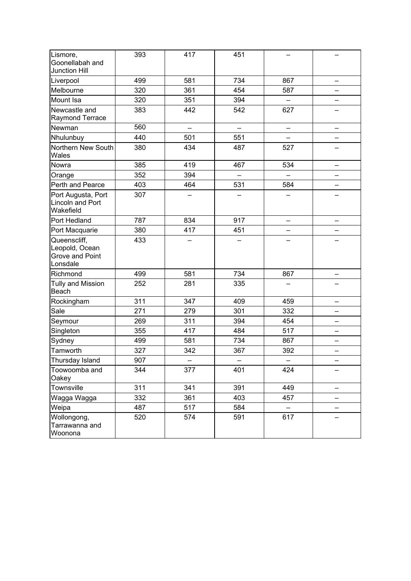| Lismore,                                                      | 393 | 417 | 451                      |          |  |
|---------------------------------------------------------------|-----|-----|--------------------------|----------|--|
| Goonellabah and<br><b>Junction Hill</b>                       |     |     |                          |          |  |
| Liverpool                                                     | 499 | 581 | 734                      | 867      |  |
| Melbourne                                                     | 320 | 361 | 454                      | 587      |  |
| Mount Isa                                                     | 320 | 351 | 394                      |          |  |
| Newcastle and<br><b>Raymond Terrace</b>                       | 383 | 442 | 542                      | 627      |  |
| Newman                                                        | 560 |     |                          |          |  |
| Nhulunbuy                                                     | 440 | 501 | 551                      |          |  |
| Northern New South<br>Wales                                   | 380 | 434 | 487                      | 527      |  |
| Nowra                                                         | 385 | 419 | 467                      | 534      |  |
| Orange                                                        | 352 | 394 | $\overline{\phantom{0}}$ | $\equiv$ |  |
| Perth and Pearce                                              | 403 | 464 | 531                      | 584      |  |
| Port Augusta, Port<br><b>Lincoln and Port</b><br>Wakefield    | 307 |     |                          |          |  |
| Port Hedland                                                  | 787 | 834 | 917                      |          |  |
| Port Macquarie                                                | 380 | 417 | 451                      |          |  |
| Queenscliff,<br>Leopold, Ocean<br>Grove and Point<br>Lonsdale | 433 |     |                          |          |  |
| Richmond                                                      | 499 | 581 | 734                      | 867      |  |
| <b>Tully and Mission</b><br>Beach                             | 252 | 281 | 335                      |          |  |
| Rockingham                                                    | 311 | 347 | 409                      | 459      |  |
| Sale                                                          | 271 | 279 | 301                      | 332      |  |
| Seymour                                                       | 269 | 311 | 394                      | 454      |  |
| Singleton                                                     | 355 | 417 | 484                      | 517      |  |
| Sydney                                                        | 499 | 581 | 734                      | 867      |  |
| Tamworth                                                      | 327 | 342 | 367                      | 392      |  |
| Thursday Island                                               | 907 |     |                          |          |  |
| Toowoomba and<br>Oakey                                        | 344 | 377 | 401                      | 424      |  |
| Townsville                                                    | 311 | 341 | 391                      | 449      |  |
| Wagga Wagga                                                   | 332 | 361 | 403                      | 457      |  |
| Weipa                                                         | 487 | 517 | 584                      | Ξ.       |  |
| Wollongong,<br>Tarrawanna and<br>Woonona                      | 520 | 574 | 591                      | 617      |  |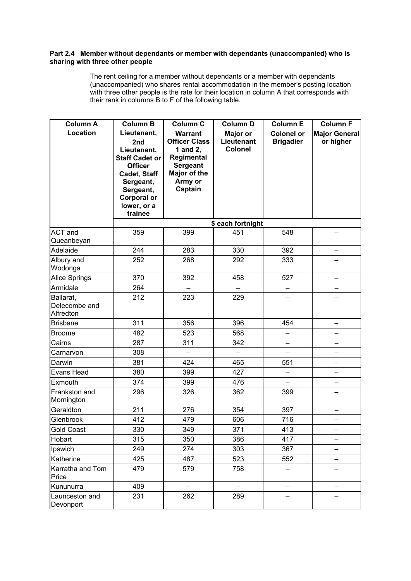### **Part 2.4 Member without dependants or member with dependants (unaccompanied) who is sharing with three other people**

 The rent ceiling for a member without dependants or a member with dependants (unaccompanied) who shares rental accommodation in the member's posting location with three other people is the rate for their location in column A that corresponds with their rank in columns B to F of the following table.

| <b>Column A</b><br>Location             | <b>Column B</b><br>Lieutenant,<br>2nd<br>Lieutenant,<br><b>Staff Cadet or</b><br><b>Officer</b><br>Cadet, Staff<br>Sergeant,<br>Sergeant,<br><b>Corporal or</b><br>lower, or a<br>trainee | <b>Column C</b><br><b>Warrant</b><br><b>Officer Class</b><br>1 and 2,<br>Regimental<br><b>Sergeant</b><br>Major of the<br>Army or<br>Captain | <b>Column D</b><br>Major or<br>Lieutenant<br><b>Colonel</b><br>\$ each fortnight | <b>Column E</b><br><b>Colonel or</b><br><b>Brigadier</b> | <b>Column F</b><br><b>Major General</b><br>or higher |
|-----------------------------------------|-------------------------------------------------------------------------------------------------------------------------------------------------------------------------------------------|----------------------------------------------------------------------------------------------------------------------------------------------|----------------------------------------------------------------------------------|----------------------------------------------------------|------------------------------------------------------|
| <b>ACT</b> and                          | 359                                                                                                                                                                                       | 399                                                                                                                                          | 451                                                                              | 548                                                      |                                                      |
| Queanbeyan<br>Adelaide                  | 244                                                                                                                                                                                       | 283                                                                                                                                          | 330                                                                              | 392                                                      |                                                      |
| Albury and<br>Wodonga                   | 252                                                                                                                                                                                       | 268                                                                                                                                          | 292                                                                              | 333                                                      |                                                      |
| <b>Alice Springs</b>                    | 370                                                                                                                                                                                       | 392                                                                                                                                          | 458                                                                              | 527                                                      |                                                      |
| Armidale                                | 264                                                                                                                                                                                       |                                                                                                                                              |                                                                                  |                                                          |                                                      |
| Ballarat,<br>Delecombe and<br>Alfredton | 212                                                                                                                                                                                       | 223                                                                                                                                          | 229                                                                              |                                                          |                                                      |
| <b>Brisbane</b>                         | 311                                                                                                                                                                                       | 356                                                                                                                                          | 396                                                                              | 454                                                      | $\overline{\phantom{0}}$                             |
| Broome                                  | 482                                                                                                                                                                                       | 523                                                                                                                                          | 568                                                                              |                                                          |                                                      |
| Cairns                                  | 287                                                                                                                                                                                       | 311                                                                                                                                          | 342                                                                              | $\qquad \qquad -$                                        | -                                                    |
| Carnarvon                               | 308                                                                                                                                                                                       | ÷,                                                                                                                                           | L.                                                                               | L.                                                       | $\overline{\phantom{0}}$                             |
| Darwin                                  | 381                                                                                                                                                                                       | 424                                                                                                                                          | 465                                                                              | 551                                                      | -                                                    |
| Evans Head                              | 380                                                                                                                                                                                       | 399                                                                                                                                          | 427                                                                              | -                                                        |                                                      |
| Exmouth                                 | 374                                                                                                                                                                                       | 399                                                                                                                                          | 476                                                                              | $\equiv$                                                 |                                                      |
| Frankston and<br>Mornington             | 296                                                                                                                                                                                       | 326                                                                                                                                          | 362                                                                              | 399                                                      |                                                      |
| Geraldton                               | 211                                                                                                                                                                                       | 276                                                                                                                                          | 354                                                                              | 397                                                      |                                                      |
| Glenbrook                               | 412                                                                                                                                                                                       | 479                                                                                                                                          | 606                                                                              | 716                                                      |                                                      |
| Gold Coast                              | 330                                                                                                                                                                                       | 349                                                                                                                                          | 371                                                                              | 413                                                      |                                                      |
| Hobart                                  | 315                                                                                                                                                                                       | 350                                                                                                                                          | 386                                                                              | 417                                                      |                                                      |
| Ipswich                                 | 249                                                                                                                                                                                       | 274                                                                                                                                          | 303                                                                              | 367                                                      |                                                      |
| Katherine                               | 425                                                                                                                                                                                       | 487                                                                                                                                          | 523                                                                              | 552                                                      |                                                      |
| Karratha and Tom<br>Price               | 479                                                                                                                                                                                       | 579                                                                                                                                          | 758                                                                              |                                                          |                                                      |
| Kununurra                               | 409                                                                                                                                                                                       |                                                                                                                                              |                                                                                  |                                                          |                                                      |
| Launceston and<br>Devonport             | 231                                                                                                                                                                                       | 262                                                                                                                                          | 289                                                                              |                                                          |                                                      |